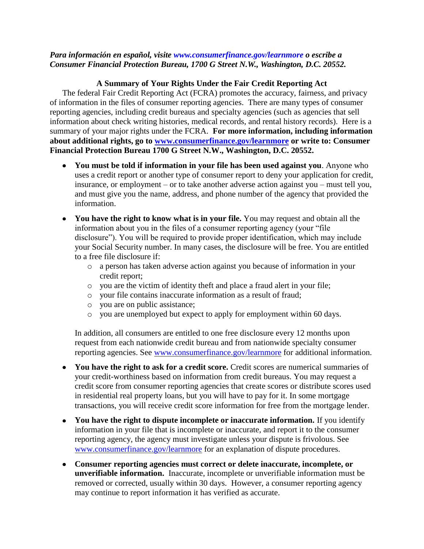## *Para información en español, visite www.consumerfinance.gov/learnmore o escribe a Consumer Financial Protection Bureau, 1700 G Street N.W., Washington, D.C. 20552.*

## **A Summary of Your Rights Under the Fair Credit Reporting Act**

The federal Fair Credit Reporting Act (FCRA) promotes the accuracy, fairness, and privacy of information in the files of consumer reporting agencies. There are many types of consumer reporting agencies, including credit bureaus and specialty agencies (such as agencies that sell information about check writing histories, medical records, and rental history records). Here is a summary of your major rights under the FCRA. **For more information, including information about additional rights, go to [www.consumerfinance.gov/learnmore](http://www.consumerfinance.gov/learnmore) or write to: Consumer Financial Protection Bureau 1700 G Street N.W., Washington, D.C. 20552.**

- **You must be told if information in your file has been used against you**. Anyone who uses a credit report or another type of consumer report to deny your application for credit, insurance, or employment – or to take another adverse action against you – must tell you, and must give you the name, address, and phone number of the agency that provided the information.
- **You have the right to know what is in your file.** You may request and obtain all the information about you in the files of a consumer reporting agency (your "file disclosure"). You will be required to provide proper identification, which may include your Social Security number. In many cases, the disclosure will be free. You are entitled to a free file disclosure if:
	- o a person has taken adverse action against you because of information in your credit report;
	- o you are the victim of identity theft and place a fraud alert in your file;
	- o your file contains inaccurate information as a result of fraud;
	- o you are on public assistance;
	- o you are unemployed but expect to apply for employment within 60 days.

In addition, all consumers are entitled to one free disclosure every 12 months upon request from each nationwide credit bureau and from nationwide specialty consumer reporting agencies. See [www.consumerfinance.gov/learnmore](http://www.consumerfinance.gov/learnmore) for additional information.

- You have the right to ask for a credit score. Credit scores are numerical summaries of your credit-worthiness based on information from credit bureaus. You may request a credit score from consumer reporting agencies that create scores or distribute scores used in residential real property loans, but you will have to pay for it. In some mortgage transactions, you will receive credit score information for free from the mortgage lender.
- **You have the right to dispute incomplete or inaccurate information.** If you identify information in your file that is incomplete or inaccurate, and report it to the consumer reporting agency, the agency must investigate unless your dispute is frivolous. See [www.consumerfinance.gov/learnmore](http://www.consumerfinance.gov/learnmore) for an explanation of dispute procedures.
- **Consumer reporting agencies must correct or delete inaccurate, incomplete, or unverifiable information.** Inaccurate, incomplete or unverifiable information must be removed or corrected, usually within 30 days. However, a consumer reporting agency may continue to report information it has verified as accurate.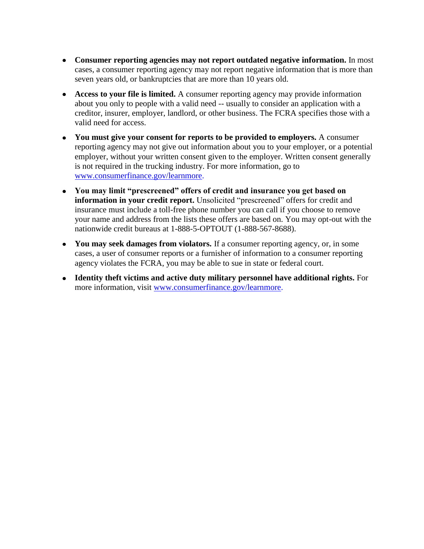- **Consumer reporting agencies may not report outdated negative information.** In most cases, a consumer reporting agency may not report negative information that is more than seven years old, or bankruptcies that are more than 10 years old.
- **Access to your file is limited.** A consumer reporting agency may provide information about you only to people with a valid need -- usually to consider an application with a creditor, insurer, employer, landlord, or other business. The FCRA specifies those with a valid need for access.
- **You must give your consent for reports to be provided to employers.** A consumer reporting agency may not give out information about you to your employer, or a potential employer, without your written consent given to the employer. Written consent generally is not required in the trucking industry. For more information, go to [www.consumerfinance.gov/learnmore.](http://www.consumerfinance.gov/learnmore)
- **You may limit "prescreened" offers of credit and insurance you get based on information in your credit report.** Unsolicited "prescreened" offers for credit and insurance must include a toll-free phone number you can call if you choose to remove your name and address from the lists these offers are based on. You may opt-out with the nationwide credit bureaus at 1-888-5-OPTOUT (1-888-567-8688).
- **You may seek damages from violators.** If a consumer reporting agency, or, in some cases, a user of consumer reports or a furnisher of information to a consumer reporting agency violates the FCRA, you may be able to sue in state or federal court.
- **Identity theft victims and active duty military personnel have additional rights.** For more information, visit [www.consumerfinance.gov/learnmore.](http://www.consumerfinance.gov/learnmore)